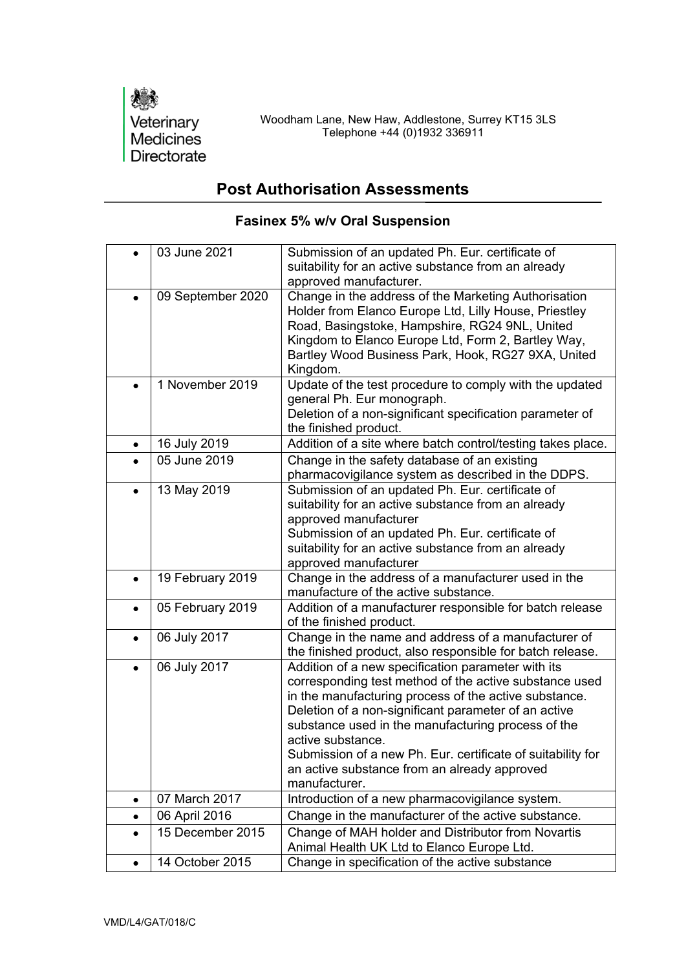

## **Post Authorisation Assessments**

|           | 03 June 2021      | Submission of an updated Ph. Eur. certificate of<br>suitability for an active substance from an already<br>approved manufacturer.                                                                                                                                                                                                                                                                                                        |
|-----------|-------------------|------------------------------------------------------------------------------------------------------------------------------------------------------------------------------------------------------------------------------------------------------------------------------------------------------------------------------------------------------------------------------------------------------------------------------------------|
|           | 09 September 2020 | Change in the address of the Marketing Authorisation<br>Holder from Elanco Europe Ltd, Lilly House, Priestley<br>Road, Basingstoke, Hampshire, RG24 9NL, United<br>Kingdom to Elanco Europe Ltd, Form 2, Bartley Way,<br>Bartley Wood Business Park, Hook, RG27 9XA, United<br>Kingdom.                                                                                                                                                  |
|           | 1 November 2019   | Update of the test procedure to comply with the updated<br>general Ph. Eur monograph.<br>Deletion of a non-significant specification parameter of<br>the finished product.                                                                                                                                                                                                                                                               |
| $\bullet$ | 16 July 2019      | Addition of a site where batch control/testing takes place.                                                                                                                                                                                                                                                                                                                                                                              |
|           | 05 June 2019      | Change in the safety database of an existing<br>pharmacovigilance system as described in the DDPS.                                                                                                                                                                                                                                                                                                                                       |
| $\bullet$ | 13 May 2019       | Submission of an updated Ph. Eur. certificate of<br>suitability for an active substance from an already<br>approved manufacturer<br>Submission of an updated Ph. Eur. certificate of<br>suitability for an active substance from an already<br>approved manufacturer                                                                                                                                                                     |
| $\bullet$ | 19 February 2019  | Change in the address of a manufacturer used in the<br>manufacture of the active substance.                                                                                                                                                                                                                                                                                                                                              |
| $\bullet$ | 05 February 2019  | Addition of a manufacturer responsible for batch release<br>of the finished product.                                                                                                                                                                                                                                                                                                                                                     |
| $\bullet$ | 06 July 2017      | Change in the name and address of a manufacturer of<br>the finished product, also responsible for batch release.                                                                                                                                                                                                                                                                                                                         |
|           | 06 July 2017      | Addition of a new specification parameter with its<br>corresponding test method of the active substance used<br>in the manufacturing process of the active substance.<br>Deletion of a non-significant parameter of an active<br>substance used in the manufacturing process of the<br>active substance.<br>Submission of a new Ph. Eur. certificate of suitability for<br>an active substance from an already approved<br>manufacturer. |
| ٠         | 07 March 2017     | Introduction of a new pharmacovigilance system.                                                                                                                                                                                                                                                                                                                                                                                          |
| ٠         | 06 April 2016     | Change in the manufacturer of the active substance.                                                                                                                                                                                                                                                                                                                                                                                      |
| $\bullet$ | 15 December 2015  | Change of MAH holder and Distributor from Novartis<br>Animal Health UK Ltd to Elanco Europe Ltd.                                                                                                                                                                                                                                                                                                                                         |
| $\bullet$ | 14 October 2015   | Change in specification of the active substance                                                                                                                                                                                                                                                                                                                                                                                          |

## **Fasinex 5% w/v Oral Suspension**